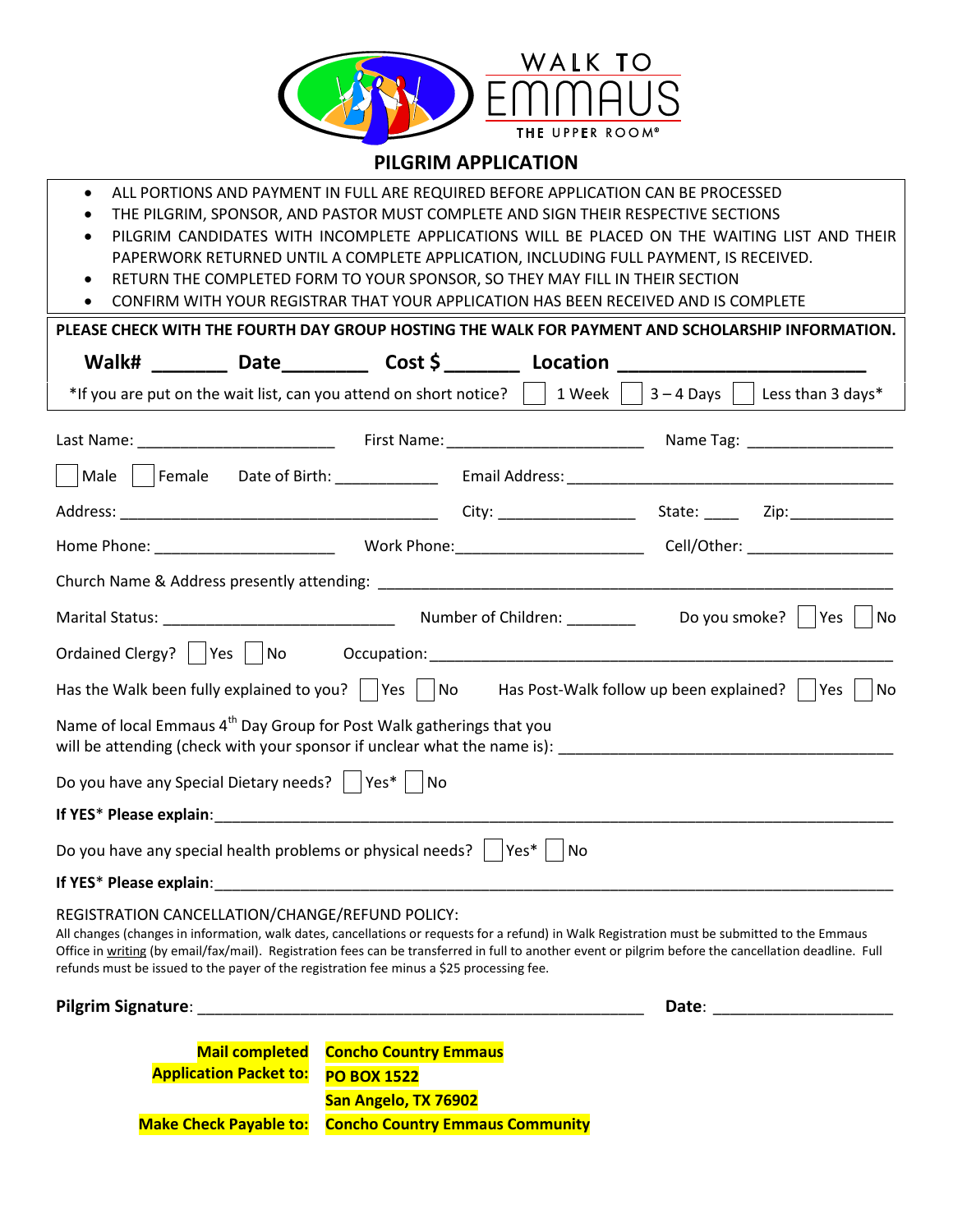

## **PILGRIM APPLICATION**

- ALL PORTIONS AND PAYMENT IN FULL ARE REQUIRED BEFORE APPLICATION CAN BE PROCESSED
- THE PILGRIM, SPONSOR, AND PASTOR MUST COMPLETE AND SIGN THEIR RESPECTIVE SECTIONS
- PILGRIM CANDIDATES WITH INCOMPLETE APPLICATIONS WILL BE PLACED ON THE WAITING LIST AND THEIR PAPERWORK RETURNED UNTIL A COMPLETE APPLICATION, INCLUDING FULL PAYMENT, IS RECEIVED.
	- RETURN THE COMPLETED FORM TO YOUR SPONSOR, SO THEY MAY FILL IN THEIR SECTION
- CONFIRM WITH YOUR REGISTRAR THAT YOUR APPLICATION HAS BEEN RECEIVED AND IS COMPLETE

| PLEASE CHECK WITH THE FOURTH DAY GROUP HOSTING THE WALK FOR PAYMENT AND SCHOLARSHIP INFORMATION.                                                                                                                                                                                                                                                                                                                                                       |                                        |       |  |  |
|--------------------------------------------------------------------------------------------------------------------------------------------------------------------------------------------------------------------------------------------------------------------------------------------------------------------------------------------------------------------------------------------------------------------------------------------------------|----------------------------------------|-------|--|--|
| Walk# ________ Date_________ Cost \$ ________ Location _________________________                                                                                                                                                                                                                                                                                                                                                                       |                                        |       |  |  |
| *If you are put on the wait list, can you attend on short notice? $\vert \ \vert$ 1 Week $\vert \ \vert$ 3 - 4 Days $\vert \ \vert$ Less than 3 days*                                                                                                                                                                                                                                                                                                  |                                        |       |  |  |
|                                                                                                                                                                                                                                                                                                                                                                                                                                                        |                                        |       |  |  |
|                                                                                                                                                                                                                                                                                                                                                                                                                                                        |                                        |       |  |  |
|                                                                                                                                                                                                                                                                                                                                                                                                                                                        |                                        |       |  |  |
|                                                                                                                                                                                                                                                                                                                                                                                                                                                        |                                        |       |  |  |
|                                                                                                                                                                                                                                                                                                                                                                                                                                                        |                                        |       |  |  |
|                                                                                                                                                                                                                                                                                                                                                                                                                                                        |                                        |       |  |  |
|                                                                                                                                                                                                                                                                                                                                                                                                                                                        |                                        |       |  |  |
| Has the Walk been fully explained to you? $\Box$ Yes $\Box$ No Has Post-Walk follow up been explained? $\Box$ Yes $\Box$ No                                                                                                                                                                                                                                                                                                                            |                                        |       |  |  |
| Name of local Emmaus 4 <sup>th</sup> Day Group for Post Walk gatherings that you<br>will be attending (check with your sponsor if unclear what the name is): ___________________________                                                                                                                                                                                                                                                               |                                        |       |  |  |
| Do you have any Special Dietary needs?     Yes*     No                                                                                                                                                                                                                                                                                                                                                                                                 |                                        |       |  |  |
| If YES* Please explain: Note and the state of the state of the state of the state of the state of the state of the state of the state of the state of the state of the state of the state of the state of the state of the sta                                                                                                                                                                                                                         |                                        |       |  |  |
| Do you have any special health problems or physical needs? $\vert$ Yes* $\vert$ No                                                                                                                                                                                                                                                                                                                                                                     |                                        |       |  |  |
|                                                                                                                                                                                                                                                                                                                                                                                                                                                        |                                        |       |  |  |
| REGISTRATION CANCELLATION/CHANGE/REFUND POLICY:<br>All changes (changes in information, walk dates, cancellations or requests for a refund) in Walk Registration must be submitted to the Emmaus<br>Office in writing (by email/fax/mail). Registration fees can be transferred in full to another event or pilgrim before the cancellation deadline. Full<br>refunds must be issued to the payer of the registration fee minus a \$25 processing fee. |                                        |       |  |  |
| <b>Pilgrim Signature:</b>                                                                                                                                                                                                                                                                                                                                                                                                                              |                                        | Date: |  |  |
| <b>Mail completed</b>                                                                                                                                                                                                                                                                                                                                                                                                                                  | <b>Concho Country Emmaus</b>           |       |  |  |
| <b>Application Packet to:</b>                                                                                                                                                                                                                                                                                                                                                                                                                          | <b>PO BOX 1522</b>                     |       |  |  |
|                                                                                                                                                                                                                                                                                                                                                                                                                                                        | San Angelo, TX 76902                   |       |  |  |
| <b>Make Check Payable to:</b>                                                                                                                                                                                                                                                                                                                                                                                                                          | <b>Concho Country Emmaus Community</b> |       |  |  |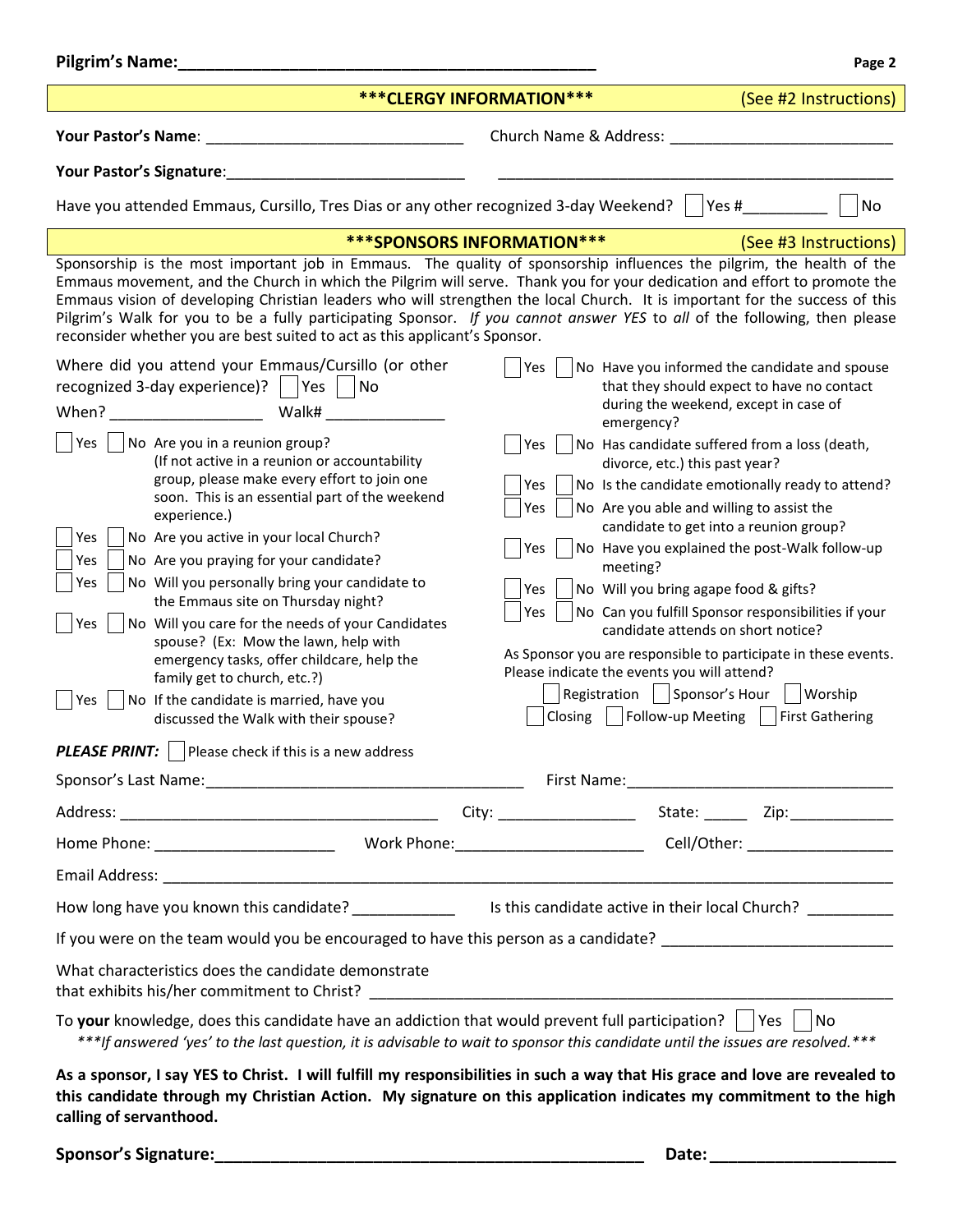| Pilgrim's Name:                                                                                                                                                                                                                                                                                                                                                                                                                                                                                                                                                                             | Page 2                                                                                                               |  |  |  |
|---------------------------------------------------------------------------------------------------------------------------------------------------------------------------------------------------------------------------------------------------------------------------------------------------------------------------------------------------------------------------------------------------------------------------------------------------------------------------------------------------------------------------------------------------------------------------------------------|----------------------------------------------------------------------------------------------------------------------|--|--|--|
|                                                                                                                                                                                                                                                                                                                                                                                                                                                                                                                                                                                             | *** CLERGY INFORMATION ***<br>(See #2 Instructions)                                                                  |  |  |  |
| Your Pastor's Name:                                                                                                                                                                                                                                                                                                                                                                                                                                                                                                                                                                         | Church Name & Address:                                                                                               |  |  |  |
| Your Pastor's Signature:                                                                                                                                                                                                                                                                                                                                                                                                                                                                                                                                                                    |                                                                                                                      |  |  |  |
| No<br>Have you attended Emmaus, Cursillo, Tres Dias or any other recognized 3-day Weekend?<br>Yes #                                                                                                                                                                                                                                                                                                                                                                                                                                                                                         |                                                                                                                      |  |  |  |
| <b>***SPONSORS INFORMATION***</b><br>(See #3 Instructions)                                                                                                                                                                                                                                                                                                                                                                                                                                                                                                                                  |                                                                                                                      |  |  |  |
| Sponsorship is the most important job in Emmaus. The quality of sponsorship influences the pilgrim, the health of the<br>Emmaus movement, and the Church in which the Pilgrim will serve. Thank you for your dedication and effort to promote the<br>Emmaus vision of developing Christian leaders who will strengthen the local Church. It is important for the success of this<br>Pilgrim's Walk for you to be a fully participating Sponsor. If you cannot answer YES to all of the following, then please<br>reconsider whether you are best suited to act as this applicant's Sponsor. |                                                                                                                      |  |  |  |
| Where did you attend your Emmaus/Cursillo (or other                                                                                                                                                                                                                                                                                                                                                                                                                                                                                                                                         | No Have you informed the candidate and spouse<br>Yes                                                                 |  |  |  |
| recognized 3-day experience)? $ $   Yes  <br><b>No</b><br>Walk#<br>When?                                                                                                                                                                                                                                                                                                                                                                                                                                                                                                                    | that they should expect to have no contact<br>during the weekend, except in case of<br>emergency?                    |  |  |  |
| Yes<br>No Are you in a reunion group?                                                                                                                                                                                                                                                                                                                                                                                                                                                                                                                                                       | No Has candidate suffered from a loss (death,<br>Yes.                                                                |  |  |  |
| (If not active in a reunion or accountability<br>group, please make every effort to join one                                                                                                                                                                                                                                                                                                                                                                                                                                                                                                | divorce, etc.) this past year?<br>No Is the candidate emotionally ready to attend?<br>Yes                            |  |  |  |
| soon. This is an essential part of the weekend                                                                                                                                                                                                                                                                                                                                                                                                                                                                                                                                              | No Are you able and willing to assist the<br>Yes                                                                     |  |  |  |
| experience.)<br>Yes<br>No Are you active in your local Church?                                                                                                                                                                                                                                                                                                                                                                                                                                                                                                                              | candidate to get into a reunion group?                                                                               |  |  |  |
| No Are you praying for your candidate?<br>Yes                                                                                                                                                                                                                                                                                                                                                                                                                                                                                                                                               | No Have you explained the post-Walk follow-up<br>Yes.<br>meeting?                                                    |  |  |  |
| No Will you personally bring your candidate to<br>Yes                                                                                                                                                                                                                                                                                                                                                                                                                                                                                                                                       | No Will you bring agape food & gifts?<br>Yes                                                                         |  |  |  |
| the Emmaus site on Thursday night?                                                                                                                                                                                                                                                                                                                                                                                                                                                                                                                                                          | No Can you fulfill Sponsor responsibilities if your<br>Yes                                                           |  |  |  |
| No Will you care for the needs of your Candidates<br>Yes<br>spouse? (Ex: Mow the lawn, help with                                                                                                                                                                                                                                                                                                                                                                                                                                                                                            | candidate attends on short notice?                                                                                   |  |  |  |
| emergency tasks, offer childcare, help the                                                                                                                                                                                                                                                                                                                                                                                                                                                                                                                                                  | As Sponsor you are responsible to participate in these events.<br>Please indicate the events you will attend?        |  |  |  |
| family get to church, etc.?)<br>No If the candidate is married, have you<br>Yes                                                                                                                                                                                                                                                                                                                                                                                                                                                                                                             | Registration   Sponsor's Hour<br>Worship                                                                             |  |  |  |
| discussed the Walk with their spouse?                                                                                                                                                                                                                                                                                                                                                                                                                                                                                                                                                       | Follow-up Meeting   First Gathering<br>Closing                                                                       |  |  |  |
| <b>PLEASE PRINT:</b> Please check if this is a new address                                                                                                                                                                                                                                                                                                                                                                                                                                                                                                                                  |                                                                                                                      |  |  |  |
|                                                                                                                                                                                                                                                                                                                                                                                                                                                                                                                                                                                             |                                                                                                                      |  |  |  |
|                                                                                                                                                                                                                                                                                                                                                                                                                                                                                                                                                                                             |                                                                                                                      |  |  |  |
|                                                                                                                                                                                                                                                                                                                                                                                                                                                                                                                                                                                             |                                                                                                                      |  |  |  |
|                                                                                                                                                                                                                                                                                                                                                                                                                                                                                                                                                                                             |                                                                                                                      |  |  |  |
|                                                                                                                                                                                                                                                                                                                                                                                                                                                                                                                                                                                             | How long have you known this candidate? _________________ Is this candidate active in their local Church? __________ |  |  |  |
|                                                                                                                                                                                                                                                                                                                                                                                                                                                                                                                                                                                             | If you were on the team would you be encouraged to have this person as a candidate? __________________________       |  |  |  |
| What characteristics does the candidate demonstrate<br>that exhibits his/her commitment to Christ?                                                                                                                                                                                                                                                                                                                                                                                                                                                                                          |                                                                                                                      |  |  |  |
| To your knowledge, does this candidate have an addiction that would prevent full participation? $\vert \vert$ Yes $\vert \vert$ No<br>***If answered 'yes' to the last question, it is advisable to wait to sponsor this candidate until the issues are resolved.***                                                                                                                                                                                                                                                                                                                        |                                                                                                                      |  |  |  |
| As a sponsor, I say YES to Christ. I will fulfill my responsibilities in such a way that His grace and love are revealed to<br>this candidate through my Christian Action. My signature on this application indicates my commitment to the high<br>calling of servanthood.                                                                                                                                                                                                                                                                                                                  |                                                                                                                      |  |  |  |

**Sponsor's Signature:\_\_\_\_\_\_\_\_\_\_\_\_\_\_\_\_\_\_\_\_\_\_\_\_\_\_\_\_\_\_\_\_\_\_\_\_\_\_\_\_\_\_\_\_\_\_ Date:\_\_\_\_\_\_\_\_\_\_\_\_\_\_\_\_\_\_\_\_**